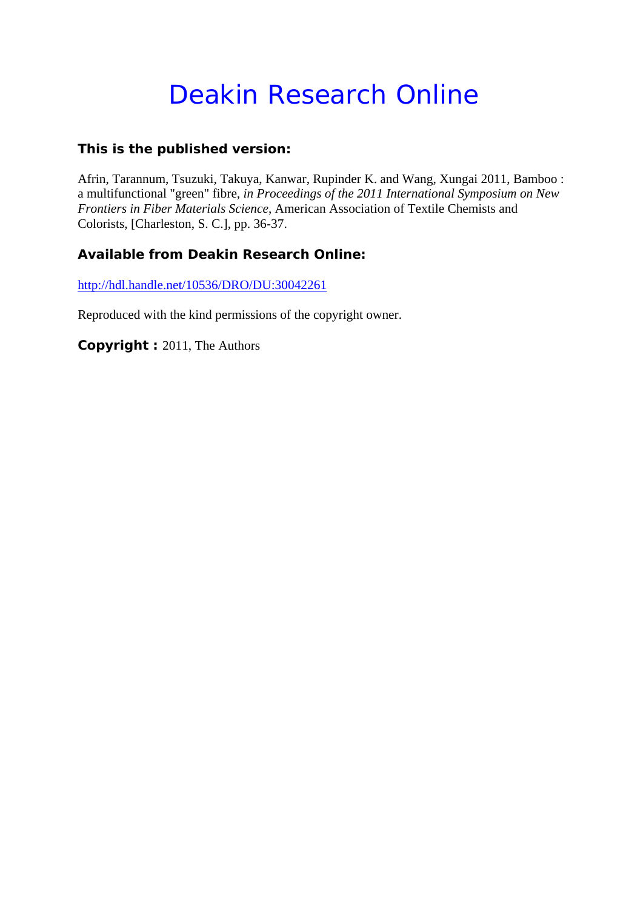# Deakin Research Online

### **This is the published version:**

Afrin, Tarannum, Tsuzuki, Takuya, Kanwar, Rupinder K. and Wang, Xungai 2011, Bamboo : a multifunctional "green" fibre*, in Proceedings of the 2011 International Symposium on New Frontiers in Fiber Materials Science*, American Association of Textile Chemists and Colorists, [Charleston, S. C.], pp. 36-37.

## **Available from Deakin Research Online:**

http://hdl.handle.net/10536/DRO/DU:30042261

Reproduced with the kind permissions of the copyright owner.

**Copyright :** 2011, The Authors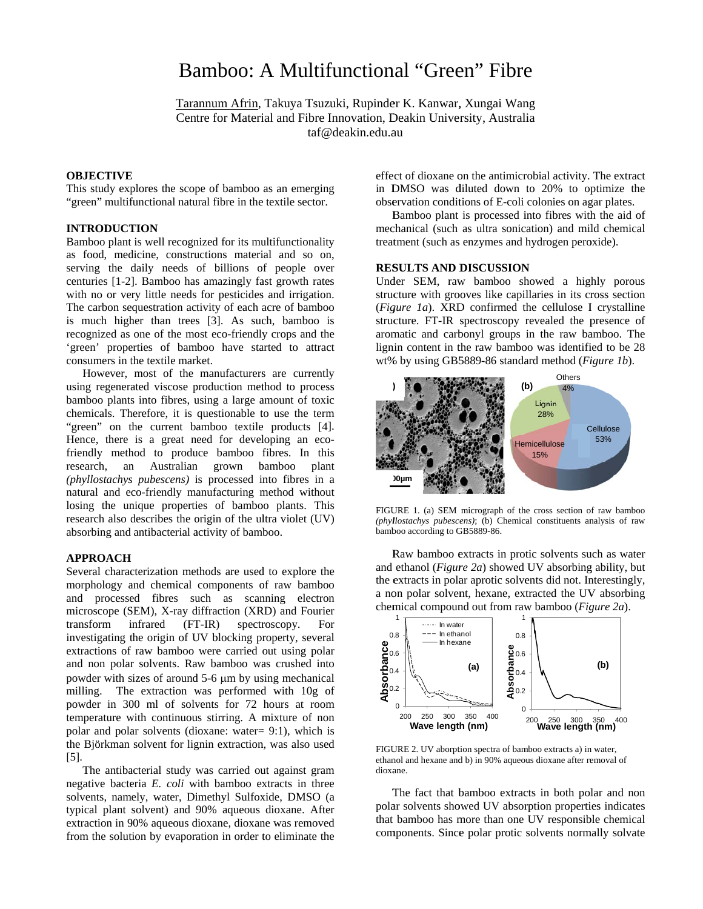## Bamboo: A Multifunctional "Green" Fibre

Tarannum Afrin, Takuya Tsuzuki, Rupinder K. Kanwar, Xungai Wang Centre for Material and Fibre Innovation, Deakin University, Australia taf@deakin.edu.au

#### **OBJECTIVE**

This study explores the scope of bamboo as an emerging "green" multifunctional natural fibre in the textile sector.

#### **INTRODUCTION**

Bamboo plant is well recognized for its multifunctionality as food, medicine, constructions material and so on, serving the daily needs of billions of people over centuries [1-2]. Bamboo has amazingly fast growth rates with no or very little needs for pesticides and irrigation. The carbon sequestration activity of each acre of bamboo is much higher than trees [3]. As such, bamboo is recognized as one of the most eco-friendly crops and the 'green' properties of bamboo have started to attract consumers in the textile market.

However, most of the manufacturers are currently using regenerated viscose production method to process bamboo plants into fibres, using a large amount of toxic chemicals. Therefore, it is questionable to use the term "green" on the current bamboo textile products [4]. Hence, there is a great need for developing an ecofriendly method to produce bamboo fibres. In this research. an Australian grown bamboo plant (phyllostachys pubescens) is processed into fibres in a natural and eco-friendly manufacturing method without losing the unique properties of bamboo plants. This research also describes the origin of the ultra violet (UV) absorbing and antibacterial activity of bamboo.

#### **APPROACH**

Several characterization methods are used to explore the morphology and chemical components of raw bamboo and processed fibres such as scanning electron microscope (SEM), X-ray diffraction (XRD) and Fourier transform infrared  $(FT-IR)$ spectroscopy. For investigating the origin of UV blocking property, several extractions of raw bamboo were carried out using polar and non polar solvents. Raw bamboo was crushed into powder with sizes of around 5-6 µm by using mechanical milling. The extraction was performed with 10g of powder in 300 ml of solvents for 72 hours at room temperature with continuous stirring. A mixture of non polar and polar solvents (dioxane: water= 9:1), which is the Björkman solvent for lignin extraction, was also used  $\lceil 5 \rceil$ .

The antibacterial study was carried out against gram negative bacteria E. coli with bamboo extracts in three solvents, namely, water, Dimethyl Sulfoxide, DMSO (a typical plant solvent) and 90% aqueous dioxane. After extraction in 90% aqueous dioxane, dioxane was removed from the solution by evaporation in order to eliminate the

effect of dioxane on the antimicrobial activity. The extract in DMSO was diluted down to 20% to optimize the observation conditions of E-coli colonies on agar plates.

Bamboo plant is processed into fibres with the aid of mechanical (such as ultra sonication) and mild chemical treatment (such as enzymes and hydrogen peroxide).

#### **RESULTS AND DISCUSSION**

Under SEM, raw bamboo showed a highly porous structure with grooves like capillaries in its cross section (*Figure 1a*). XRD confirmed the cellulose I crystalline structure. FT-IR spectroscopy revealed the presence of aromatic and carbonyl groups in the raw bamboo. The lignin content in the raw bamboo was identified to be 28 wt% by using GB5889-86 standard method (Figure 1b).



FIGURE 1. (a) SEM micrograph of the cross section of raw bamboo (phyllostachys pubescens); (b) Chemical constituents analysis of raw bamboo according to GB5889-86.

Raw bamboo extracts in protic solvents such as water and ethanol (Figure 2a) showed UV absorbing ability, but the extracts in polar aprotic solvents did not. Interestingly, a non polar solvent, hexane, extracted the UV absorbing chemical compound out from raw bamboo (Figure 2a).



FIGURE 2. UV aborption spectra of bamboo extracts a) in water. ethanol and hexane and b) in 90% aqueous dioxane after removal of dioxane.

The fact that bamboo extracts in both polar and non polar solvents showed UV absorption properties indicates that bamboo has more than one UV responsible chemical components. Since polar protic solvents normally solvate